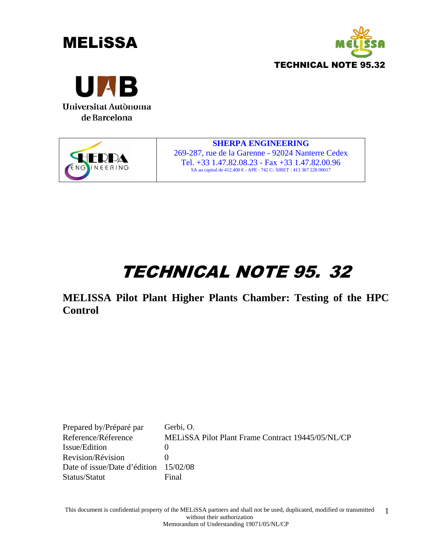







**SHERPA ENGINEERING**  269-287, rue de la Garenne - 92024 Nanterre Cedex Tel. +33 1.47.82.08.23 - Fax +33 1.47.82.00.96 SA au capital de 412.400 € - APE : 742 C- SIRET : 413 367 228 00017

# TECHNICAL NOTE 95. 32

**MELISSA Pilot Plant Higher Plants Chamber: Testing of the HPC Control** 

Prepared by/Préparé par Gerbi, O. Reference/Réference MELiSSA Pilot Plant Frame Contract 19445/05/NL/CP Issue/Edition 0 Revision/Révision 0 Date of issue/Date d'édition 15/02/08 Status/Statut Final

This document is confidential property of the MELiSSA partners and shall not be used, duplicated, modified or transmitted without their authorization Memorandum of Understanding 19071/05/NL/CP 1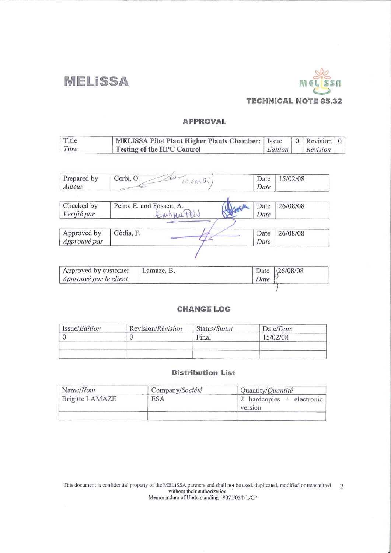**MELISSA** 



### **APPROVAL**

| Title | MELISSA Pilot Plant Higher Plants Chamber:   Issue   0   Revision   0 |  |                  |  |
|-------|-----------------------------------------------------------------------|--|------------------|--|
| Titre | <b>Testing of the HPC Control</b>                                     |  | Edition Révision |  |

| Prepared by<br>Auteur | Gerbi, O.<br>$19.66R\beta$ | Date<br>Date | 15/02/08 |
|-----------------------|----------------------------|--------------|----------|
|                       |                            |              |          |
| Checked by            | Peiro, E. and Fossen, A.   | Date         | 26/08/08 |
| Verifié par           | Emmunter                   | Date         |          |
|                       |                            |              |          |
| Approved by           | Gòdia, F.                  | Date         | 26/08/08 |
| Approuvé par          |                            | Date         |          |

| Approved by customer<br>Approuvé par le client | Lamaze, B. | Date | Date $\sqrt{26/08/08}$ |
|------------------------------------------------|------------|------|------------------------|
|                                                |            |      |                        |

#### **CHANGE LOG**

| Issue/ <i>Edition</i> | Revision/Révision | Status/Statut | Date/Date |  |
|-----------------------|-------------------|---------------|-----------|--|
|                       |                   | Final         | 15/02/08  |  |
|                       |                   |               |           |  |
|                       |                   |               |           |  |

#### **Distribution List**

| Name/Nom        | Company/Société | Quantity/Quantité                  |
|-----------------|-----------------|------------------------------------|
| Brigitte LAMAZE | ESA             | hardcopies + electronic<br>version |
|                 |                 |                                    |

This document is confidential property of the MELiSSA partners and shall not be used, duplicated, modified or transmitted 2 without their authorization<br>Memorandum of Understanding 19071/05/NL/CP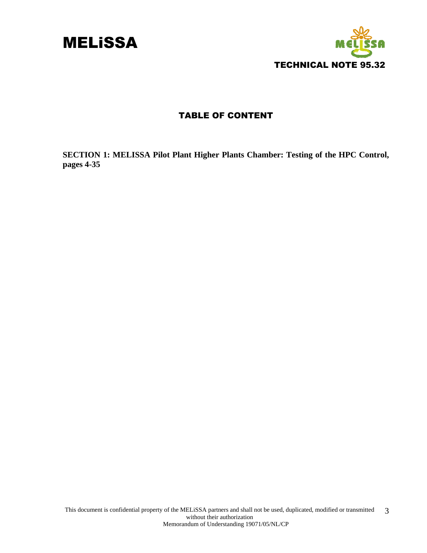



### TABLE OF CONTENT

**SECTION 1: MELISSA Pilot Plant Higher Plants Chamber: Testing of the HPC Control, pages 4-35**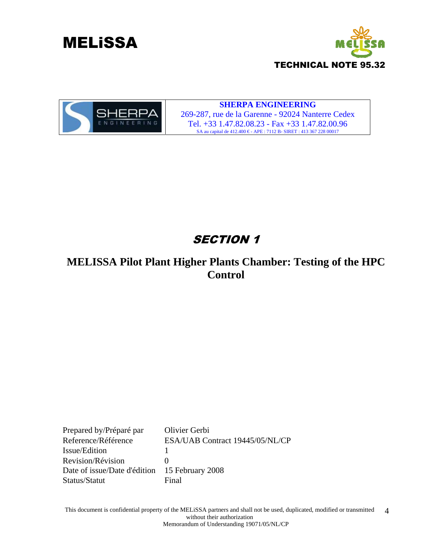





#### **SHERPA ENGINEERING**  269-287, rue de la Garenne - 92024 Nanterre Cedex Tel. +33 1.47.82.08.23 - Fax +33 1.47.82.00.96 SA au capital de 412.400 € - APE : 7112 B- SIRET : 413 367 228 00017

### **SECTION 1**

### **MELISSA Pilot Plant Higher Plants Chamber: Testing of the HPC Control**

Prepared by/Préparé par Olivier Gerbi Reference/Référence ESA/UAB Contract 19445/05/NL/CP Issue/Edition 1 Revision/Révision 0 Date of issue/Date d'édition 15 February 2008 Status/Statut Final

This document is confidential property of the MELiSSA partners and shall not be used, duplicated, modified or transmitted without their authorization Memorandum of Understanding 19071/05/NL/CP 4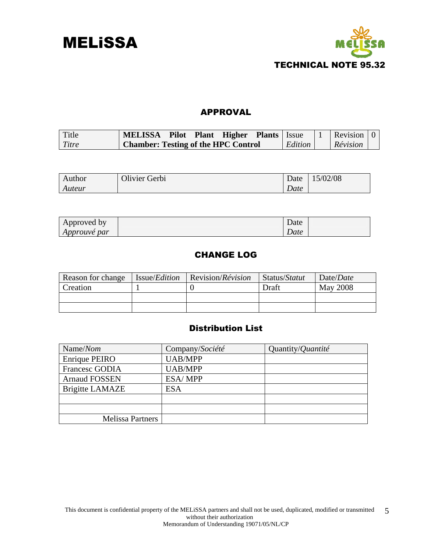



### APPROVAL

| Title | MELISSA Pilot Plant Higher Plants   Issue        |  |  |         | $\vert 1 \vert$ Revision $\vert 0 \vert$ |  |
|-------|--------------------------------------------------|--|--|---------|------------------------------------------|--|
| Titre | <sup>1</sup> Chamber: Testing of the HPC Control |  |  | Edition | <i>Révision</i>                          |  |

| Author | Olivier Gerbi | Date | 15/02/08 |
|--------|---------------|------|----------|
| Auteur |               | Date |          |

| Approved by         | Date |  |
|---------------------|------|--|
| <i>Approuve par</i> | Date |  |

### CHANGE LOG

| Reason for change | Issue/ <i>Edition</i> | $\vert$ Revision/ <i>Révision</i> | Status/Statut | Date/Date       |
|-------------------|-----------------------|-----------------------------------|---------------|-----------------|
| Creation          |                       |                                   | <b>Draft</b>  | <b>May 2008</b> |
|                   |                       |                                   |               |                 |
|                   |                       |                                   |               |                 |

### Distribution List

| Name/Nom                | Company/Société | Quantity/ <i>Quantité</i> |
|-------------------------|-----------------|---------------------------|
| Enrique PEIRO           | <b>UAB/MPP</b>  |                           |
| Francesc GODIA          | <b>UAB/MPP</b>  |                           |
| <b>Arnaud FOSSEN</b>    | ESA/MPP         |                           |
| <b>Brigitte LAMAZE</b>  | <b>ESA</b>      |                           |
|                         |                 |                           |
|                         |                 |                           |
| <b>Melissa Partners</b> |                 |                           |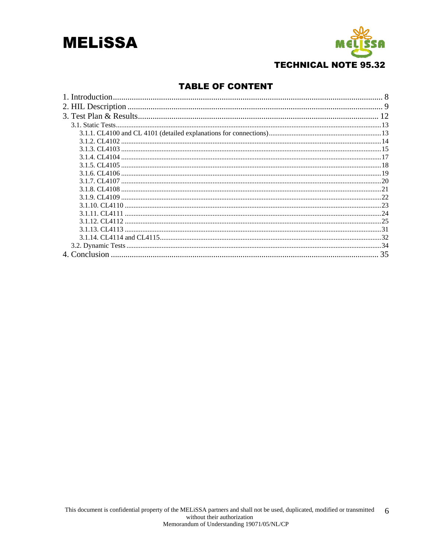



### **TABLE OF CONTENT**

| 3.1.2. CL4102 |  |
|---------------|--|
|               |  |
|               |  |
|               |  |
|               |  |
|               |  |
|               |  |
|               |  |
|               |  |
|               |  |
|               |  |
|               |  |
|               |  |
|               |  |
|               |  |
|               |  |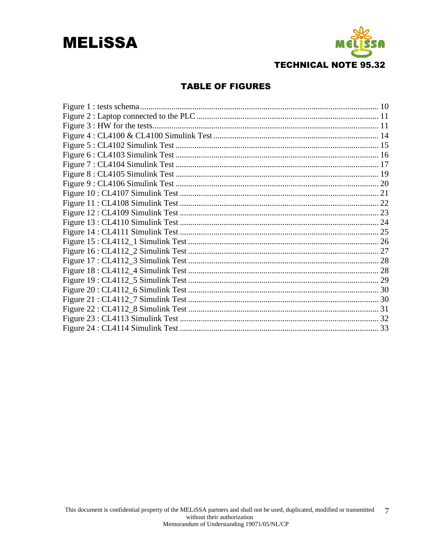## **MELISSA**



### **TABLE OF FIGURES**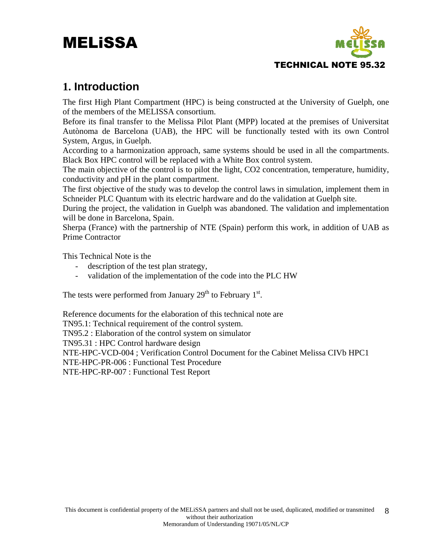

### **1. Introduction**

The first High Plant Compartment (HPC) is being constructed at the University of Guelph, one of the members of the MELISSA consortium.

Before its final transfer to the Melissa Pilot Plant (MPP) located at the premises of Universitat Autònoma de Barcelona (UAB), the HPC will be functionally tested with its own Control System, Argus, in Guelph.

According to a harmonization approach, same systems should be used in all the compartments. Black Box HPC control will be replaced with a White Box control system.

The main objective of the control is to pilot the light, CO2 concentration, temperature, humidity, conductivity and pH in the plant compartment.

The first objective of the study was to develop the control laws in simulation, implement them in Schneider PLC Quantum with its electric hardware and do the validation at Guelph site.

During the project, the validation in Guelph was abandoned. The validation and implementation will be done in Barcelona, Spain.

Sherpa (France) with the partnership of NTE (Spain) perform this work, in addition of UAB as Prime Contractor

This Technical Note is the

- description of the test plan strategy,
- validation of the implementation of the code into the PLC HW

The tests were performed from January  $29<sup>th</sup>$  to February  $1<sup>st</sup>$ .

Reference documents for the elaboration of this technical note are TN95.1: Technical requirement of the control system. TN95.2 : Elaboration of the control system on simulator TN95.31 : HPC Control hardware design NTE-HPC-VCD-004 ; Verification Control Document for the Cabinet Melissa CIVb HPC1 NTE-HPC-PR-006 : Functional Test Procedure NTE-HPC-RP-007 : Functional Test Report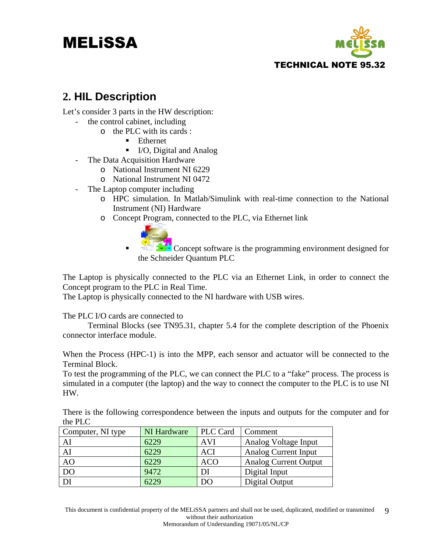

### **2. HIL Description**

Let's consider 3 parts in the HW description:

- the control cabinet, including
	- o the PLC with its cards :
		- **Ethernet**
		- I/O, Digital and Analog
- The Data Acquisition Hardware
	- o National Instrument NI 6229
	- o National Instrument NI 0472
- The Laptop computer including
	- o HPC simulation. In Matlab/Simulink with real-time connection to the National Instrument (NI) Hardware
	- o Concept Program, connected to the PLC, via Ethernet link



Concept software is the programming environment designed for the Schneider Quantum PLC

The Laptop is physically connected to the PLC via an Ethernet Link, in order to connect the Concept program to the PLC in Real Time.

The Laptop is physically connected to the NI hardware with USB wires.

The PLC I/O cards are connected to

 Terminal Blocks (see TN95.31, chapter 5.4 for the complete description of the Phoenix connector interface module.

When the Process (HPC-1) is into the MPP, each sensor and actuator will be connected to the Terminal Block.

To test the programming of the PLC, we can connect the PLC to a "fake" process. The process is simulated in a computer (the laptop) and the way to connect the computer to the PLC is to use NI HW.

There is the following correspondence between the inputs and outputs for the computer and for the PLC

| Computer, NI type | NI Hardware | PLC Card   | Comment                     |
|-------------------|-------------|------------|-----------------------------|
| AI                | 6229        | <b>AVI</b> | Analog Voltage Input        |
| AI                | 6229        | <b>ACI</b> | <b>Analog Current Input</b> |
| AO                | 6229        | <b>ACO</b> | Analog Current Output       |
| D <sub>O</sub>    | 9472        | DI         | Digital Input               |
| DI                | 6229        | DO         | Digital Output              |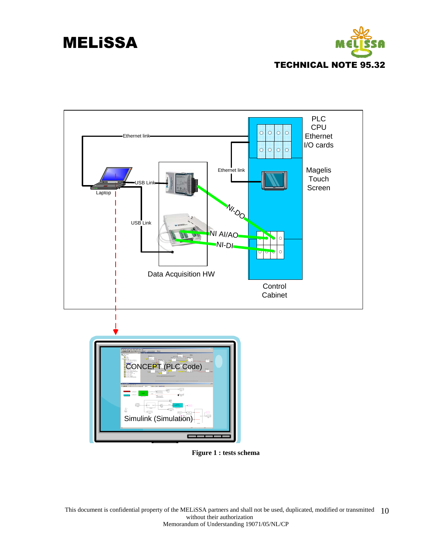



**Figure 1 : tests schema** 

This document is confidential property of the MELISSA partners and shall not be used, duplicated, modified or transmitted 10 without their authorization Memorandum of Understanding 19071/05/NL/CP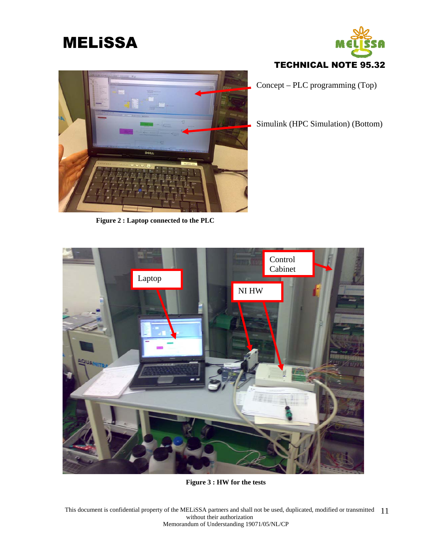



Concept – PLC programming (Top)

Simulink (HPC Simulation) (Bottom)



**Figure 2 : Laptop connected to the PLC** 



**Figure 3 : HW for the tests** 

This document is confidential property of the MELiSSA partners and shall not be used, duplicated, modified or transmitted 11 without their authorization Memorandum of Understanding 19071/05/NL/CP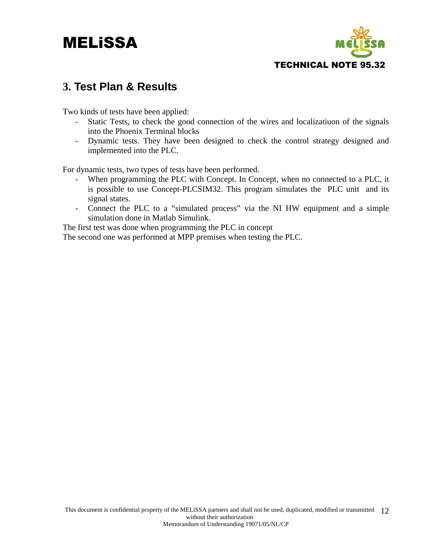

### **3. Test Plan & Results**

Two kinds of tests have been applied:

- Static Tests, to check the good connection of the wires and localizatiuon of the signals into the Phoenix Terminal blocks
- Dynamic tests. They have been designed to check the control strategy designed and implemented into the PLC.

For dynamic tests, two types of tests have been performed.

- When programming the PLC with Concept. In Concept, when no connected to a PLC, it is possible to use Concept-PLCSIM32. This program simulates the PLC unit and its signal states.
- Connect the PLC to a "simulated process" via the NI HW equipment and a simple simulation done in Matlab Simulink.

The first test was done when programming the PLC in concept The second one was performed at MPP premises when testing the PLC.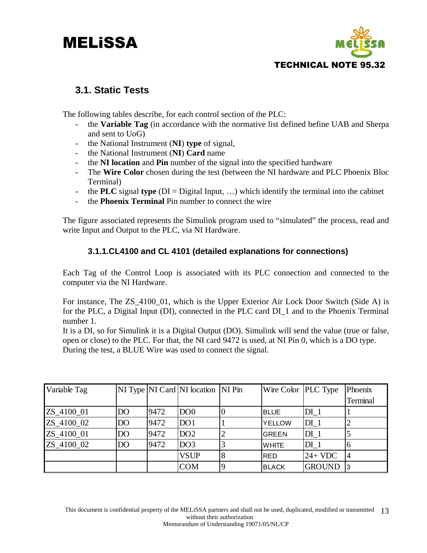

### **3.1. Static Tests**

The following tables describe, for each control section of the PLC:

- the **Variable Tag** (in accordance with the normative list defined befine UAB and Sherpa and sent to UoG)
- the National Instrument (**NI**) **type** of signal,
- the National Instrument (**NI**) **Card** name
- the **NI location** and **Pin** number of the signal into the specified hardware
- The **Wire Color** chosen during the test (between the NI hardware and PLC Phoenix Bloc Terminal)
- the **PLC** signal **type** ( $DI = Digital Input, ...)$  which identify the terminal into the cabinet
- the **Phoenix Terminal** Pin number to connect the wire

The figure associated represents the Simulink program used to "simulated" the process, read and write Input and Output to the PLC, via NI Hardware.

### **3.1.1.CL4100 and CL 4101 (detailed explanations for connections)**

Each Tag of the Control Loop is associated with its PLC connection and connected to the computer via the NI Hardware.

For instance, The ZS\_4100\_01, which is the Upper Exterior Air Lock Door Switch (Side A) is for the PLC, a Digital Input (DI), connected in the PLC card DI\_1 and to the Phoenix Terminal number 1.

It is a DI, so for Simulink it is a Digital Output (DO). Simulink will send the value (true or false, open or close) to the PLC. For that, the NI card 9472 is used, at NI Pin 0, which is a DO type. During the test, a BLUE Wire was used to connect the signal.

| Variable Tag |                 |      | NI Type   NI Card   NI location   NI Pin | Wire Color  PLC Type |                 | Phoenix  |
|--------------|-----------------|------|------------------------------------------|----------------------|-----------------|----------|
|              |                 |      |                                          |                      |                 | Terminal |
| ZS_4100_01   | DO <sub>1</sub> | 9472 | DO <sub>0</sub>                          | <b>BLUE</b>          | DI <sub>1</sub> |          |
| ZS_4100_02   | DO <sub>1</sub> | 9472 | DO <sub>1</sub>                          | <b>YELLOW</b>        | DI <sub>1</sub> |          |
| ZS_4100_01   | DO <sub>1</sub> | 9472 | DO2                                      | GREEN                | DI <sub>1</sub> |          |
| ZS_4100_02   | DO <sub>1</sub> | 9472 | DO3                                      | <b>WHITE</b>         | DI <sub>1</sub> | 16       |
|              |                 |      | <b>VSUP</b>                              | IRED.                | $24+VDC$        | 14       |
|              |                 |      | <b>COM</b>                               | <b>BLACK</b>         | <b>GROUND</b>   | I3       |

This document is confidential property of the MELiSSA partners and shall not be used, duplicated, modified or transmitted 13 without their authorization Memorandum of Understanding 19071/05/NL/CP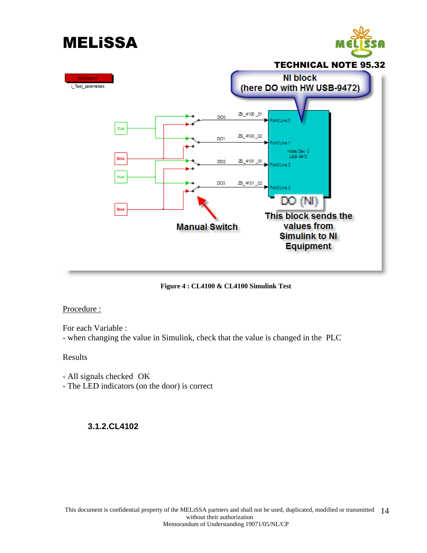

**Figure 4 : CL4100 & CL4100 Simulink Test** 

### Procedure :

For each Variable :

- when changing the value in Simulink, check that the value is changed in the PLC

### Results

- All signals checked OK - The LED indicators (on the door) is correct

### **3.1.2.CL4102**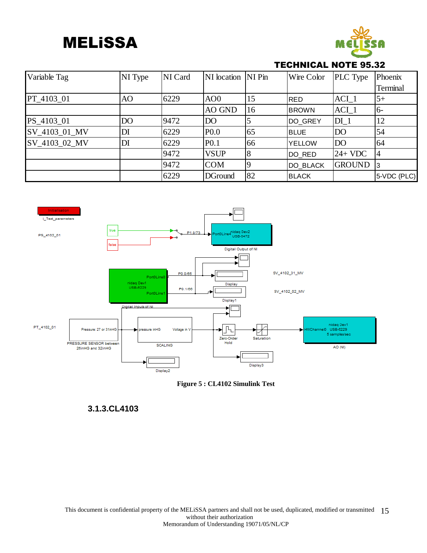

### TECHNICAL NOTE 95.32

| Variable Tag  | NI Type | NI Card | NI location NI Pin |             | Wire Color      | <b>PLC</b> Type | Phoenix     |
|---------------|---------|---------|--------------------|-------------|-----------------|-----------------|-------------|
|               |         |         |                    |             |                 |                 | Terminal    |
| PT 4103 01    | AO      | 6229    | AO <sub>0</sub>    | 15          | RED             | $ACI_1$         | $5+$        |
|               |         |         | AO GND             | 16          | <b>BROWN</b>    | $ACI_1$         | $6-$        |
| PS_4103_01    | DO      | 9472    | D <sub>O</sub>     |             | DO GREY         | $DI_1$          | 12          |
| SV_4103_01_MV | DI      | 6229    | P <sub>0.0</sub>   | 65          | <b>BLUE</b>     | DO              | 54          |
| SV_4103_02_MV | DI      | 6229    | P <sub>0.1</sub>   | 66          | <b>YELLOW</b>   | DO              | 64          |
|               |         | 9472    | <b>VSUP</b>        |             | DO RED          | $24+VDC$        | 14          |
|               |         | 9472    | <b>COM</b>         | $\mathbf Q$ | <b>DO BLACK</b> | <b>GROUND</b>   | 13          |
|               |         | 6229    | <b>DGround</b>     | 82          | <b>BLACK</b>    |                 | 5-VDC (PLC) |





### **3.1.3.CL4103**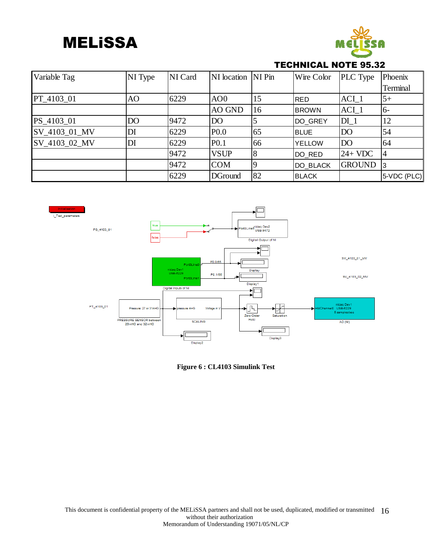

### TECHNICAL NOTE 95.32

| Variable Tag  | NI Type        | NI Card | NI location NI Pin |    | Wire Color    | <b>PLC</b> Type | Phoenix     |
|---------------|----------------|---------|--------------------|----|---------------|-----------------|-------------|
|               |                |         |                    |    |               |                 | Terminal    |
| PT 4103 01    | AO             | 6229    | AO <sub>0</sub>    | 15 | <b>RED</b>    | $ACI_1$         | $5+$        |
|               |                |         | AO GND             | 16 | <b>BROWN</b>  | $ACI_1$         | $6-$        |
| PS 4103 01    | D <sub>O</sub> | 9472    | D <sub>O</sub>     |    | DO GREY       | $DI_1$          | 12          |
| SV_4103_01_MV | DI             | 6229    | P <sub>0.0</sub>   | 65 | <b>BLUE</b>   | <b>DO</b>       | 54          |
| SV_4103_02_MV | DI             | 6229    | P <sub>0.1</sub>   | 66 | <b>YELLOW</b> | <b>DO</b>       | 64          |
|               |                | 9472    | <b>VSUP</b>        |    | DO RED        | $24+VDC$        | 14          |
|               |                | 9472    | <b>COM</b>         |    | DO BLACK      | <b>GROUND</b>   | 13          |
|               |                | 6229    | <b>DGround</b>     | 82 | <b>BLACK</b>  |                 | 5-VDC (PLC) |



**Figure 6 : CL4103 Simulink Test**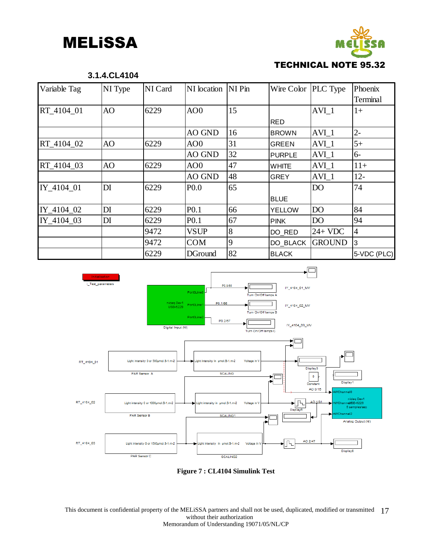

| Variable Tag | NI Type | NI Card | NI location      | NI Pin | Wire Color   PLC Type |                  | Phoenix         |
|--------------|---------|---------|------------------|--------|-----------------------|------------------|-----------------|
|              |         |         |                  |        |                       |                  | <b>Terminal</b> |
| RT 4104 01   | AO      | 6229    | AO <sub>0</sub>  | 15     |                       | AVI <sub>1</sub> | $1+$            |
|              |         |         |                  |        | <b>RED</b>            |                  |                 |
|              |         |         | AO GND           | 16     | <b>BROWN</b>          | $AVI_1$          | $2 -$           |
| RT_4104_02   | AO      | 6229    | AO <sub>0</sub>  | 31     | <b>GREEN</b>          | AVI <sub>1</sub> | $5+$            |
|              |         |         | AO GND           | 32     | <b>PURPLE</b>         | $AVI_1$          | $6-$            |
| RT_4104_03   | AO      | 6229    | AOO              | 47     | <b>WHITE</b>          | $AVI_1$          | $11+$           |
|              |         |         | <b>AO GND</b>    | 48     | <b>GREY</b>           | $AVI_1$          | $12 -$          |
| IY_4104_01   | DI      | 6229    | P <sub>0.0</sub> | 65     |                       | DO               | 74              |
|              |         |         |                  |        | <b>BLUE</b>           |                  |                 |
| IY_4104_02   | DI      | 6229    | P <sub>0.1</sub> | 66     | <b>YELLOW</b>         | DO               | 84              |
| IY 4104 03   | DI      | 6229    | P <sub>0.1</sub> | 67     | <b>PINK</b>           | D <sub>O</sub>   | 94              |
|              |         | 9472    | <b>VSUP</b>      | 8      | DO RED                | $24+VDC$         | 4               |
|              |         | 9472    | <b>COM</b>       | 9      | DO BLACK              | <b>GROUND</b>    | l3              |
|              |         | 6229    | <b>DGround</b>   | 82     | <b>BLACK</b>          |                  | 5-VDC (PLC)     |



**Figure 7 : CL4104 Simulink Test** 

This document is confidential property of the MELiSSA partners and shall not be used, duplicated, modified or transmitted 17 without their authorization Memorandum of Understanding 19071/05/NL/CP

#### **3.1.4.CL4104**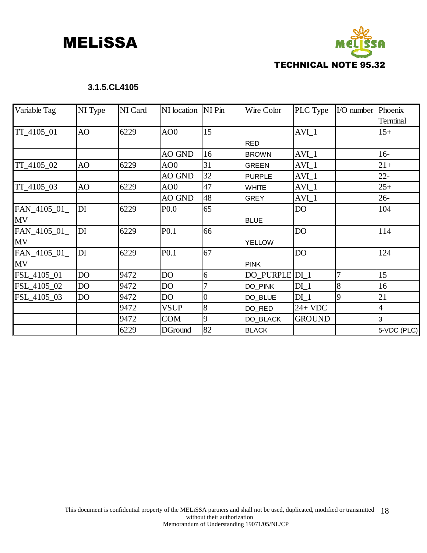

### **3.1.5.CL4105**

| Variable Tag | NI Type         | NI Card | NI location NI Pin |                | Wire Color     | PLC Type        | I/O number | Phoenix        |
|--------------|-----------------|---------|--------------------|----------------|----------------|-----------------|------------|----------------|
|              |                 |         |                    |                |                |                 |            | Terminal       |
| TT_4105_01   | AO              | 6229    | AO <sub>0</sub>    | 15             |                | $AVI_1$         |            | $15+$          |
|              |                 |         |                    |                | <b>RED</b>     |                 |            |                |
|              |                 |         | AO GND             | 16             | <b>BROWN</b>   | $AVI_1$         |            | $16-$          |
| TT_4105_02   | AO              | 6229    | AO <sub>0</sub>    | 31             | <b>GREEN</b>   | $AVI_1$         |            | $21+$          |
|              |                 |         | AO GND             | 32             | <b>PURPLE</b>  | $AVI_1$         |            | $22 -$         |
| TT_4105_03   | AO              | 6229    | AO <sub>0</sub>    | 47             | <b>WHITE</b>   | $AVI_1$         |            | $25+$          |
|              |                 |         | AO GND             | 48             | <b>GREY</b>    | $AVI_1$         |            | $26 -$         |
| FAN_4105_01_ | $\overline{D}I$ | 6229    | P <sub>0.0</sub>   | 65             |                | DO <sub>1</sub> |            | 104            |
| <b>MV</b>    |                 |         |                    |                | <b>BLUE</b>    |                 |            |                |
| FAN_4105_01_ | DI              | 6229    | P <sub>0.1</sub>   | 66             |                | <b>DO</b>       |            | 114            |
| <b>MV</b>    |                 |         |                    |                | <b>YELLOW</b>  |                 |            |                |
| FAN_4105_01_ | DI              | 6229    | P <sub>0.1</sub>   | 67             |                | <b>DO</b>       |            | 124            |
| <b>MV</b>    |                 |         |                    |                | <b>PINK</b>    |                 |            |                |
| FSL_4105_01  | DO              | 9472    | DO                 | 6              | DO_PURPLE DI_1 |                 | 7          | 15             |
| FSL_4105_02  | DO              | 9472    | DO                 |                | DO PINK        | $DI_1$          | 8          | 16             |
| FSL_4105_03  | DO              | 9472    | DO                 | $\overline{0}$ | DO_BLUE        | DI <sub>1</sub> | 9          | 21             |
|              |                 | 9472    | <b>VSUP</b>        | 8              | DO_RED         | $24+VDC$        |            | $\overline{4}$ |
|              |                 | 9472    | <b>COM</b>         | 9              | DO_BLACK       | <b>GROUND</b>   |            | 3              |
|              |                 | 6229    | <b>DGround</b>     | 82             | <b>BLACK</b>   |                 |            | 5-VDC (PLC)    |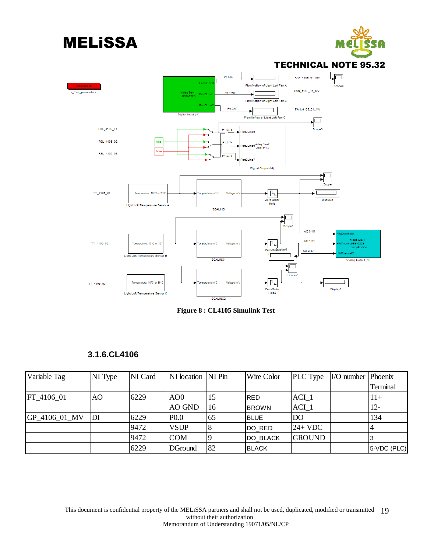

**Figure 8 : CL4105 Simulink Test** 

### **3.1.6.CL4106**

| Variable Tag  | NI Type | NI Card | NI location NI Pin |    | Wire Color   | <b>PLC</b> Type  | $\vert$ I/O number   Phoenix |             |
|---------------|---------|---------|--------------------|----|--------------|------------------|------------------------------|-------------|
|               |         |         |                    |    |              |                  |                              | Terminal    |
| FT 4106 01    | AO      | 6229    | AOO                | 15 | IRED         | ACI <sub>1</sub> |                              | $11+$       |
|               |         |         | <b>AO GND</b>      | 16 | <b>BROWN</b> | $ACI_1$          |                              | $12 -$      |
| GP_4106_01_MV | IDI     | 6229    | P <sub>0.0</sub>   | 65 | <b>BLUE</b>  | <b>DO</b>        |                              | 134         |
|               |         | 9472    | <b>VSUP</b>        |    | DO RED       | $24+VDC$         |                              |             |
|               |         | 9472    | <b>COM</b>         |    | DO BLACK     | <b>GROUND</b>    |                              |             |
|               |         | 6229    | DGround            | 82 | <b>BLACK</b> |                  |                              | 5-VDC (PLC) |

This document is confidential property of the MELiSSA partners and shall not be used, duplicated, modified or transmitted 19 without their authorization Memorandum of Understanding 19071/05/NL/CP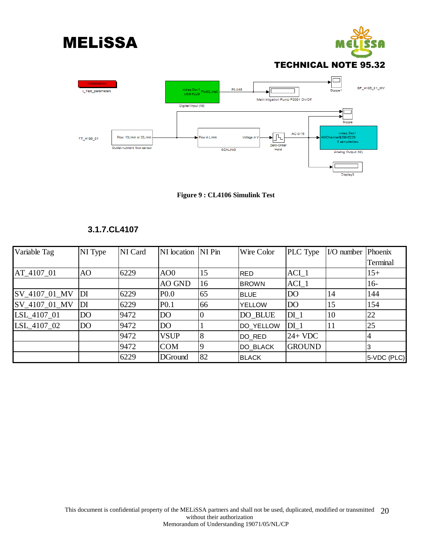



### TECHNICAL NOTE 95.32



**Figure 9 : CL4106 Simulink Test** 

### **3.1.7.CL4107**

| Variable Tag  | NI Type         | NI Card | NI location NI Pin |    | Wire Color      | PLC Type        | I/O number Phoenix |                       |
|---------------|-----------------|---------|--------------------|----|-----------------|-----------------|--------------------|-----------------------|
|               |                 |         |                    |    |                 |                 |                    | Terminal              |
| AT_4107_01    | AO              | 6229    | AO <sub>0</sub>    | 15 | <b>IRED</b>     | $ACI_1$         |                    | 15+                   |
|               |                 |         | AO GND             | 16 | <b>BROWN</b>    | $ACI_1$         |                    | $16-$                 |
| SV 4107 01 MV | DI              | 6229    | P <sub>0.0</sub>   | 65 | <b>BLUE</b>     | D <sub>O</sub>  | 14                 | 144                   |
| SV 4107 01 MV | DI              | 6229    | P <sub>0.1</sub>   | 66 | <b>YELLOW</b>   | DO <sub>1</sub> | 15                 | 154                   |
| LSL_4107_01   | DO <sub>1</sub> | 9472    | DO                 |    | DO_BLUE         | $DI_1$          | 10                 | 22                    |
| LSL_4107_02   | DO <sub>1</sub> | 9472    | D <sub>O</sub>     |    | DO_YELLOW       | $DI_1$          | 11                 | 25                    |
|               |                 | 9472    | <b>VSUP</b>        |    | DO RED          | $24+VDC$        |                    | 4                     |
|               |                 | 9472    | <b>COM</b>         |    | <b>DO BLACK</b> | <b>GROUND</b>   |                    | 3                     |
|               |                 | 6229    | <b>DGround</b>     | 82 | <b>BLACK</b>    |                 |                    | $ 5\text{-}VDC$ (PLC) |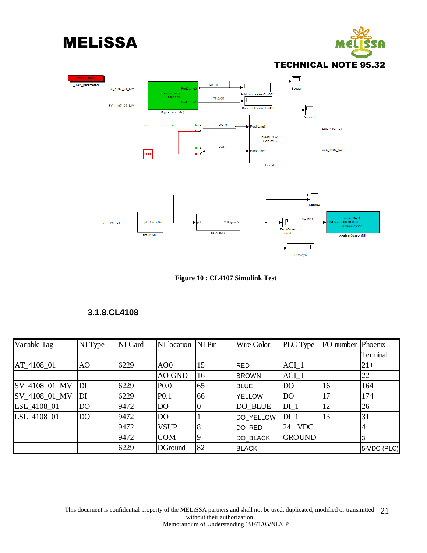









### **3.1.8.CL4108**

| Variable Tag  | NI Type         | NI Card | NI location NI Pin |    | Wire Color    | PLC Type        | I/O number | Phoenix     |
|---------------|-----------------|---------|--------------------|----|---------------|-----------------|------------|-------------|
|               |                 |         |                    |    |               |                 |            | Terminal    |
| AT_4108_01    | AO              | 6229    | AOO                | 15 | <b>RED</b>    | $ACI_1$         |            | $21+$       |
|               |                 |         | <b>AO GND</b>      | 16 | <b>BROWN</b>  | $ACI_1$         |            | $22 -$      |
| SV_4108_01_MV | DI              | 6229    | P <sub>0.0</sub>   | 65 | <b>BLUE</b>   | D <sub>O</sub>  | 16         | 164         |
| SV_4108_01_MV | DI              | 6229    | P <sub>0.1</sub>   | 66 | <b>YELLOW</b> | D <sub>O</sub>  | 17         | 174         |
| LSL_4108_01   | D <sub>O</sub>  | 9472    | DO                 |    | DO_BLUE       | $DI_1$          | 12         | 26          |
| LSL 4108 01   | DO <sub>1</sub> | 9472    | DO <sub>1</sub>    |    | DO_YELLOW     | DI <sub>1</sub> | 13         | 31          |
|               |                 | 9472    | <b>VSUP</b>        |    | DO RED        | $24+VDC$        |            |             |
|               |                 | 9472    | <b>COM</b>         |    | DO_BLACK      | <b>GROUND</b>   |            | 3           |
|               |                 | 6229    | <b>DGround</b>     | 82 | <b>IBLACK</b> |                 |            | 5-VDC (PLC) |

This document is confidential property of the MELISSA partners and shall not be used, duplicated, modified or transmitted 21 without their authorization Memorandum of Understanding 19071/05/NL/CP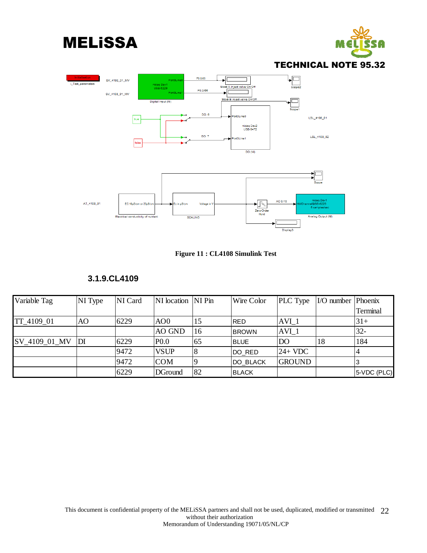









### **3.1.9.CL4109**

| Variable Tag  | NI Type | NI Card | NI location NI Pin |     | Wire Color   | <b>PLC</b> Type  | I/O number Phoenix |                 |
|---------------|---------|---------|--------------------|-----|--------------|------------------|--------------------|-----------------|
|               |         |         |                    |     |              |                  |                    | <b>Terminal</b> |
| TT_4109_01    | AO      | 6229    | AOO                | 15  | <b>RED</b>   | AVI <sub>1</sub> |                    | $ 31+$          |
|               |         |         | AO GND             | 16  | <b>BROWN</b> | AVI <sub>1</sub> |                    | $32-$           |
| SV_4109_01_MV | DI      | 6229    | P <sub>0.0</sub>   | 165 | <b>BLUE</b>  | DO               | 18                 | 184             |
|               |         | 9472    | <b>VSUP</b>        |     | DO_RED       | $24+VDC$         |                    |                 |
|               |         | 9472    | <b>COM</b>         |     | DO_BLACK     | <b>GROUND</b>    |                    |                 |
|               |         | 6229    | DGround            | 82  | <b>BLACK</b> |                  |                    | 5-VDC (PLC)     |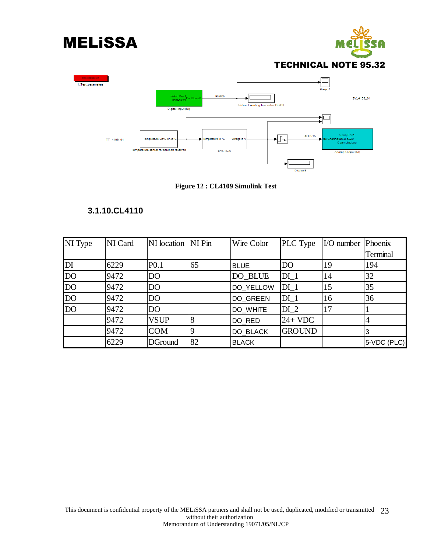





**Figure 12 : CL4109 Simulink Test** 

### **3.1.10.CL4110**

| NI Type         | NI Card | NI location NI Pin |    | Wire Color   | PLC Type       | I/O number Phoenix |             |
|-----------------|---------|--------------------|----|--------------|----------------|--------------------|-------------|
|                 |         |                    |    |              |                |                    | Terminal    |
| DI              | 6229    | P <sub>0.1</sub>   | 65 | <b>BLUE</b>  | DO <sub></sub> | 19                 | 194         |
| <b>DO</b>       | 9472    | DO                 |    | DO_BLUE      | $DI_1$         | 14                 | 32          |
| DO <sub>1</sub> | 9472    | DO                 |    | DO YELLOW    | $DI_1$         | 15                 | 35          |
| <b>DO</b>       | 9472    | DO <sub>1</sub>    |    | DO GREEN     | $DI_1$         | 16                 | 36          |
| DO <sub>1</sub> | 9472    | DO                 |    | DO WHITE     | $DI_2$         | 17                 |             |
|                 | 9472    | <b>VSUP</b>        | 8  | DO_RED       | $24+VDC$       |                    | 4           |
|                 | 9472    | <b>COM</b>         | 9  | DO_BLACK     | <b>GROUND</b>  |                    | IЗ          |
|                 | 6229    | <b>DGround</b>     | 82 | <b>BLACK</b> |                |                    | 5-VDC (PLC) |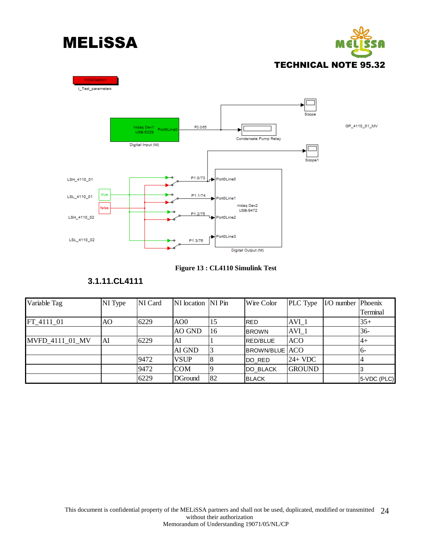







### **3.1.11.CL4111**

| Variable Tag    | NI Type | NI Card | NI location NI Pin |    | Wire Color            | <b>PLC</b> Type  | $I/O number IPhoenix$ |             |
|-----------------|---------|---------|--------------------|----|-----------------------|------------------|-----------------------|-------------|
|                 |         |         |                    |    |                       |                  |                       | Terminal    |
| FT 4111 01      | AO      | 6229    | AO0                | 15 | <b>RED</b>            | $AVI_1$          |                       | $35+$       |
|                 |         |         | AO GND             | 16 | <b>BROWN</b>          | AVI <sub>1</sub> |                       | $36-$       |
| MVFD 4111 01 MV | AI      | 6229    | AI                 |    | <b>RED/BLUE</b>       | <b>ACO</b>       |                       | l4+         |
|                 |         |         | AI GND             |    | <b>BROWN/BLUE ACO</b> |                  |                       | 16-         |
|                 |         | 9472    | <b>VSUP</b>        |    | DO RED                | $24+VDC$         |                       |             |
|                 |         | 9472    | <b>COM</b>         |    | <b>DO BLACK</b>       | <b>GROUND</b>    |                       |             |
|                 |         | 6229    | <b>DGround</b>     | 82 | <b>BLACK</b>          |                  |                       | 5-VDC (PLC) |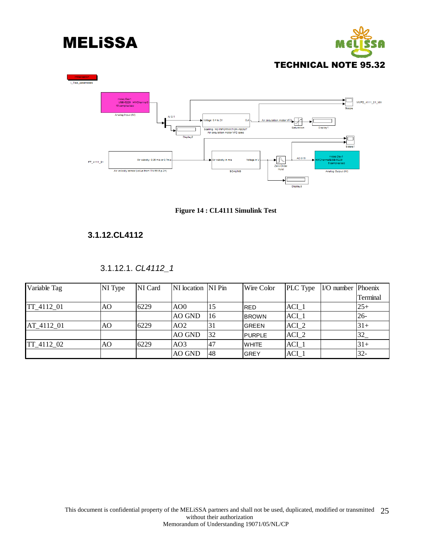





**Figure 14 : CL4111 Simulink Test** 

### **3.1.12.CL4112**

### 3.1.12.1. *CL4112\_1*

| Variable Tag | NI Type | NI Card | NI location NI Pin |    | Wire Color    | PLC Type         | $\overline{LO}$ number Phoenix |          |
|--------------|---------|---------|--------------------|----|---------------|------------------|--------------------------------|----------|
|              |         |         |                    |    |               |                  |                                | Terminal |
| TT_4112_01   | AO      | 6229    | AO0                | 15 | <b>IRED</b>   | $ACI_1$          |                                | $25+$    |
|              |         |         | AO GND             | 16 | <b>BROWN</b>  | $ACI_1$          |                                | $26-$    |
| AT_4112_01   | AO      | 6229    | AO <sub>2</sub>    | 31 | <b>GREEN</b>  | ACI <sub>2</sub> |                                | $31+$    |
|              |         |         | AO GND             | 32 | <b>PURPLE</b> | ACI <sub>2</sub> |                                | 32       |
| TT 4112 02   | AO      | 6229    | AO3                | 47 | <b>WHITE</b>  | $ACI_1$          |                                | $31+$    |
|              |         |         | AO GND             | 48 | <b>GREY</b>   | ACI 1            |                                | $32 -$   |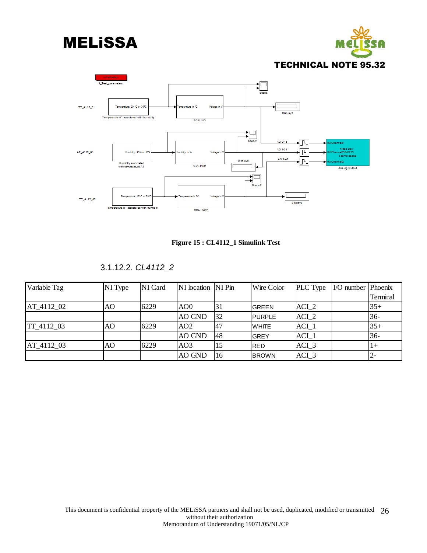







3.1.12.2. *CL4112\_2* 

| Variable Tag | NI Type | NI Card | NI location NI Pin |     | Wire Color    | PLC Type         | $\vert$ I/O number $\vert$ Phoenix |          |
|--------------|---------|---------|--------------------|-----|---------------|------------------|------------------------------------|----------|
|              |         |         |                    |     |               |                  |                                    | Terminal |
| AT 4112 02   | AO      | 6229    | AO0                | 31  | <b>GREEN</b>  | ACI <sub>2</sub> |                                    | $35+$    |
|              |         |         | <b>AO GND</b>      | 32  | <b>PURPLE</b> | $ACI_2$          |                                    | $36-$    |
| TT 4112 03   | AO      | 6229    | AO <sub>2</sub>    | ,47 | <b>WHITE</b>  | $ACI_1$          |                                    | $35+$    |
|              |         |         | AO GND             | 48  | <b>GREY</b>   | $ACI_1$          |                                    | $36 -$   |
| AT 4112 03   | AO      | 6229    | AO3                | 15  | <b>RED</b>    | $ACI_3$          |                                    | $1+$     |
|              |         |         | <b>AO GND</b>      | 16  | <b>BROWN</b>  | ACI 3            |                                    |          |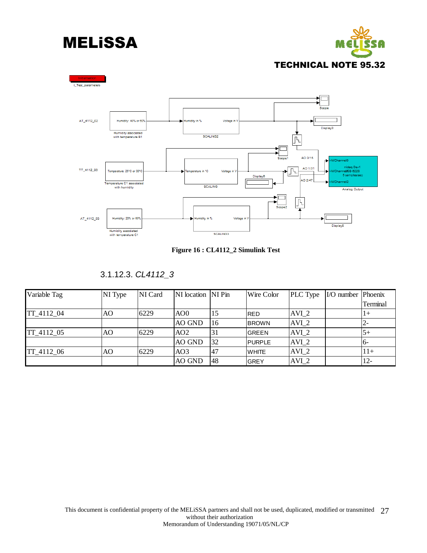





**Figure 16 : CL4112\_2 Simulink Test** 

| Variable Tag      | NI Type | NI Card | INI location INI Pin |     | Wire Color    | PLC Type         | $I/O number IPhoenix$ |          |
|-------------------|---------|---------|----------------------|-----|---------------|------------------|-----------------------|----------|
|                   |         |         |                      |     |               |                  |                       | Terminal |
| TT 4112 04        | AO      | 6229    | AO0                  | 15  | <b>RED</b>    | $AVI_2$          |                       | $1+$     |
|                   |         |         | <b>AO GND</b>        | 16  | <b>BROWN</b>  | $AVI_2$          |                       | $2 -$    |
| <b>TT</b> 4112 05 | AO      | 6229    | AO2                  | 31  | <b>GREEN</b>  | AVI <sub>2</sub> |                       | $5+$     |
|                   |         |         | <b>AO GND</b>        | 132 | <b>PURPLE</b> | AVI <sub>2</sub> |                       | 16-      |
| TT 4112 06        | AO.     | 6229    | AO3                  | 47  | <b>WHITE</b>  | AVI <sub>2</sub> |                       | $1 +$    |
|                   |         |         | <b>AO GND</b>        | 48  | <b>GREY</b>   | AVI <sub>2</sub> |                       | 12-      |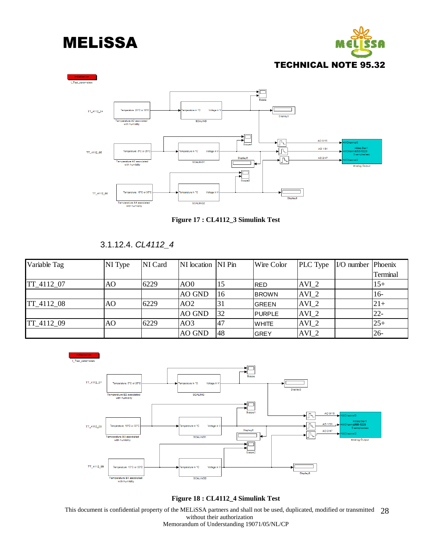





**Figure 17 : CL4112\_3 Simulink Test** 

3.1.12.4. *CL4112\_4* 

| Variable Tag | NI Type | NI Card | NI location NI Pin |     | Wire Color    | PLC Type         | $IO number  Phoenix$ |          |
|--------------|---------|---------|--------------------|-----|---------------|------------------|----------------------|----------|
|              |         |         |                    |     |               |                  |                      | Terminal |
| TT_4112_07   | AO      | 6229    | AO0                | 15  | <b>RED</b>    | $AVI_2$          |                      | $15+$    |
|              |         |         | <b>AO GND</b>      | 16  | <b>BROWN</b>  | $AVI_2$          |                      | $16-$    |
| TT 4112 08   | AO      | 6229    | AO2                | 131 | <b>GREEN</b>  | $AVI_2$          |                      | $21+$    |
|              |         |         | <b>AO GND</b>      | 32  | <b>PURPLE</b> | $AVI_2$          |                      | $22 -$   |
| TT 4112 09   | AO      | 6229    | AO3                | 147 | <b>WHITE</b>  | $AVI_2$          |                      | $25+$    |
|              |         |         | <b>AO GND</b>      | 148 | <b>GREY</b>   | AVI <sub>2</sub> |                      | $126 -$  |



**Figure 18 : CL4112\_4 Simulink Test** 

This document is confidential property of the MELiSSA partners and shall not be used, duplicated, modified or transmitted 28 without their authorization Memorandum of Understanding 19071/05/NL/CP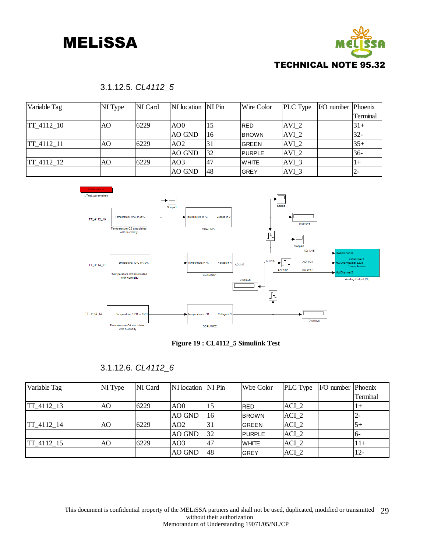



### 3.1.12.5. *CL4112\_5*

| Variable Tag      | NI Type | NI Card | NI location NI Pin |           | Wire Color     | <b>PLC</b> Type  | $I/O number IPhoenix$ |          |
|-------------------|---------|---------|--------------------|-----------|----------------|------------------|-----------------------|----------|
|                   |         |         |                    |           |                |                  |                       | Terminal |
| <b>TT</b> 4112 10 | AΟ      | 6229    | AO <sub>0</sub>    | 15        | <b>IRED</b>    | AVI <sub>2</sub> |                       | $31+$    |
|                   |         |         | AO GND             | 16        | <b>IBROWN</b>  | AVI <sub>2</sub> |                       | $32 -$   |
| <b>TT</b> 4112 11 | AO      | 6229    | AO2                | 131       | IGREEN         | AVI <sub>2</sub> |                       | $35+$    |
|                   |         |         | AO GND             | <b>32</b> | <b>IPURPLE</b> | AVI <sub>2</sub> |                       | $36-$    |
| <b>TT</b> 4112 12 | AO.     | 6229    | AO3                | 47        | <b>IWHITE</b>  | AVI 3            |                       | $1+$     |
|                   |         |         | AO GND             | 148       | IGREY          | AVI 3            |                       | 2-       |



#### **Figure 19 : CL4112\_5 Simulink Test**

### 3.1.12.6. *CL4112\_6*

| Variable Tag | NI Type | NI Card | NI location NI Pin |     | Wire Color    | <b>PLC</b> Type  | $\vert$ I/O number $\vert$ Phoenix |          |
|--------------|---------|---------|--------------------|-----|---------------|------------------|------------------------------------|----------|
|              |         |         |                    |     |               |                  |                                    | Terminal |
| TT 4112 13   | AO      | 6229    | AO <sub>0</sub>    | 15  | <b>RED</b>    | ACI 2            |                                    | l 1 +    |
|              |         |         | AO GND             | 16  | <b>BROWN</b>  | ACI <sub>2</sub> |                                    | 12-      |
| TT 4112 14   | AO      | 6229    | AO2                | 31  | <b>GREEN</b>  | ACI <sub>2</sub> |                                    | 15+      |
|              |         |         | AO GND             | 32  | <b>PURPLE</b> | ACI <sub>2</sub> |                                    | -16      |
| TT 4112 15   | AO      | 6229    | AO <sub>3</sub>    | 47  | <b>WHITE</b>  | ACI <sub>2</sub> |                                    | 11+      |
|              |         |         | AO GND             | 148 | <b>GREY</b>   | $ACI_2$          |                                    | 112-     |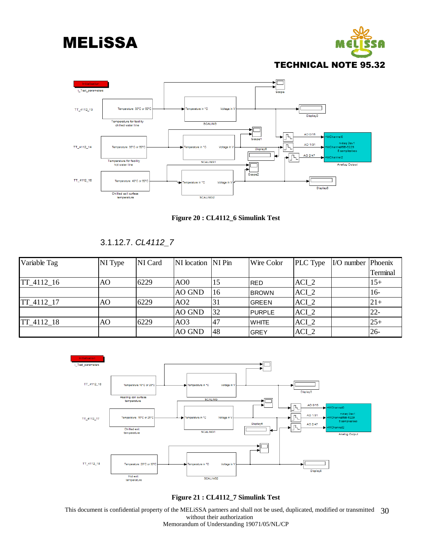



**Figure 20 : CL4112\_6 Simulink Test** 

3.1.12.7. *CL4112\_7* 

| Variable Tag | NI Type | NI Card | NI location NI Pin |     | Wire Color    | PLC Type         | $I/O number IPhoenix$ |          |
|--------------|---------|---------|--------------------|-----|---------------|------------------|-----------------------|----------|
|              |         |         |                    |     |               |                  |                       | Terminal |
| $TT_4112_16$ | AO      | 6229    | AO0                | 15  | <b>IRED</b>   | ACI 2            |                       | $15+$    |
|              |         |         | AO GND             | 16  | <b>BROWN</b>  | $ACI_2$          |                       | $16-$    |
| TT 4112 17   | AO      | 6229    | AO2                | 31  | lGREEN        | ACI <sub>2</sub> |                       | $21+$    |
|              |         |         | AO GND             | 32  | <b>PURPLE</b> | $ACI_2$          |                       | $22 -$   |
| TT 4112 18   | AO      | 6229    | AO3                | 147 | <b>IWHITE</b> | ACI <sub>2</sub> |                       | $25+$    |
|              |         |         | AO GND             | 48  | <b>GREY</b>   | $ACI_2$          |                       | $26 -$   |



**Figure 21 : CL4112\_7 Simulink Test** 

This document is confidential property of the MELISSA partners and shall not be used, duplicated, modified or transmitted 30 without their authorization Memorandum of Understanding 19071/05/NL/CP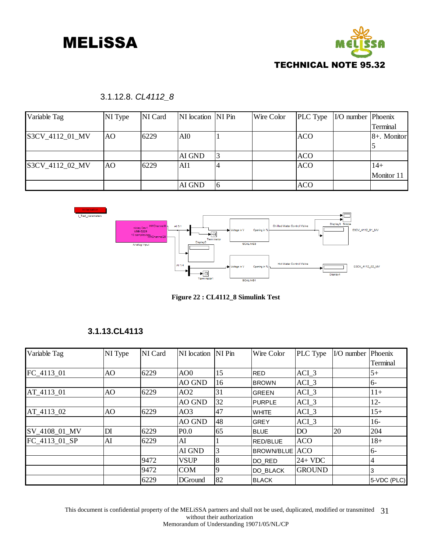

### 3.1.12.8. *CL4112\_8*

| Variable Tag    | NI Type | NI Card | NI location NI Pin |   | Wire Color | PLC Type   | I/O number Phoenix |             |
|-----------------|---------|---------|--------------------|---|------------|------------|--------------------|-------------|
|                 |         |         |                    |   |            |            |                    | Terminal    |
| S3CV_4112_01_MV | AO      | 6229    | AI0                |   |            | <b>ACO</b> |                    | 8+. Monitor |
|                 |         |         |                    |   |            |            |                    |             |
|                 |         |         | AI GND             |   |            | <b>ACO</b> |                    |             |
| S3CV 4112 02 MV | AO      | 6229    | AI1                |   |            | <b>ACO</b> |                    | $14+$       |
|                 |         |         |                    |   |            |            |                    | Monitor 11  |
|                 |         |         | AI GND             | 6 |            | <b>ACO</b> |                    |             |



**Figure 22 : CL4112\_8 Simulink Test** 

#### **3.1.13.CL4113**

| Variable Tag  | NI Type | NI Card | NI location NI Pin |    | Wire Color        | PLC Type      | I/O number Phoenix |             |
|---------------|---------|---------|--------------------|----|-------------------|---------------|--------------------|-------------|
|               |         |         |                    |    |                   |               |                    | Terminal    |
| FC_4113_01    | AO      | 6229    | AO <sub>0</sub>    | 15 | <b>RED</b>        | $ACI_3$       |                    | $5+$        |
|               |         |         | AO GND             | 16 | <b>BROWN</b>      | $ACI_3$       |                    | $6-$        |
| AT 4113 01    | AO      | 6229    | AO2                | 31 | <b>GREEN</b>      | ACI 3         |                    | $11+$       |
|               |         |         | <b>AO GND</b>      | 32 | <b>PURPLE</b>     | ACI 3         |                    | $12 -$      |
| AT_4113_02    | AO      | 6229    | AO <sub>3</sub>    | 47 | <b>WHITE</b>      | ACI 3         |                    | $15+$       |
|               |         |         | AO GND             | 48 | <b>GREY</b>       | $ACI_3$       |                    | $16-$       |
| SV_4108_01_MV | DI      | 6229    | P <sub>0.0</sub>   | 65 | <b>BLUE</b>       | DO            | 20                 | 204         |
| FC 4113 01 SP | AI      | 6229    | AI                 |    | <b>RED/BLUE</b>   | <b>ACO</b>    |                    | $18+$       |
|               |         |         | AI GND             | 3  | <b>BROWN/BLUE</b> | <b>ACO</b>    |                    | $6-$        |
|               |         | 9472    | <b>VSUP</b>        | 8  | DO_RED            | $24+VDC$      |                    | 4           |
|               |         | 9472    | <b>COM</b>         |    | <b>DO BLACK</b>   | <b>GROUND</b> |                    | 3           |
|               |         | 6229    | <b>DGround</b>     | 82 | <b>BLACK</b>      |               |                    | 5-VDC (PLC) |

This document is confidential property of the MELISSA partners and shall not be used, duplicated, modified or transmitted 31 without their authorization Memorandum of Understanding 19071/05/NL/CP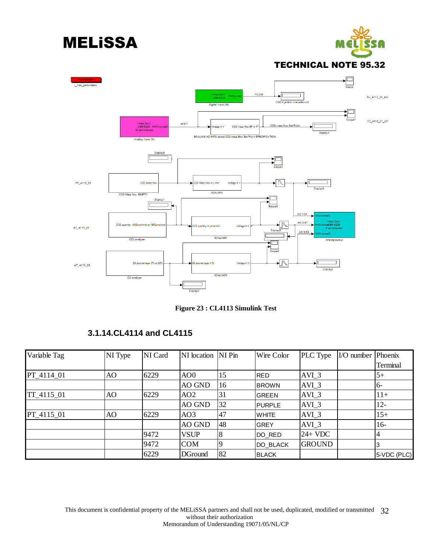





**Figure 23 : CL4113 Simulink Test** 

| 3.1.14.CL4114 and CL4115 |  |
|--------------------------|--|
|--------------------------|--|

| Variable Tag | NI Type | NI Card | NI location NI Pin |    | Wire Color    | PLC Type      | $IO number  Phoenix$ |             |
|--------------|---------|---------|--------------------|----|---------------|---------------|----------------------|-------------|
|              |         |         |                    |    |               |               |                      | Terminal    |
| PT_4114_01   | AO      | 6229    | AO <sub>0</sub>    | 15 | <b>IRED</b>   | $AVI_3$       |                      | $5+$        |
|              |         |         | AO GND             | 16 | <b>BROWN</b>  | AVI 3         |                      | -16         |
| TT_4115_01   | AO      | 6229    | AO <sub>2</sub>    | 31 | <b>IGREEN</b> | AVI 3         |                      | $11+$       |
|              |         |         | AO GND             | 32 | <b>PURPLE</b> | AVI 3         |                      | $12 -$      |
| PT 4115 01   | AO      | 6229    | AO <sub>3</sub>    | 47 | <b>WHITE</b>  | AVI 3         |                      | $15+$       |
|              |         |         | AO GND             | 48 | <b>GREY</b>   | AVI 3         |                      | $16-$       |
|              |         | 9472    | <b>VSUP</b>        |    | DO RED        | $24+VDC$      |                      |             |
|              |         | 9472    | <b>COM</b>         |    | DO_BLACK      | <b>GROUND</b> |                      | 3           |
|              |         | 6229    | <b>DGround</b>     | 82 | <b>BLACK</b>  |               |                      | 5-VDC (PLC) |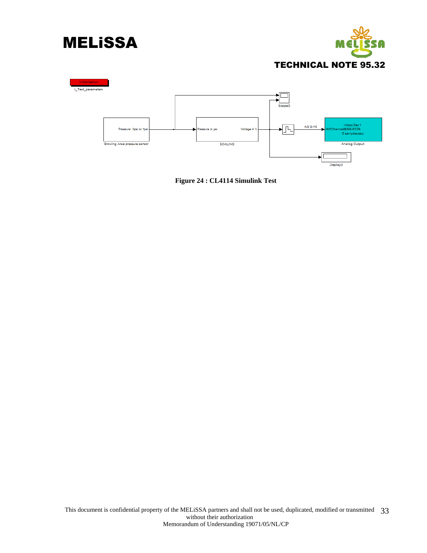





**Figure 24 : CL4114 Simulink Test**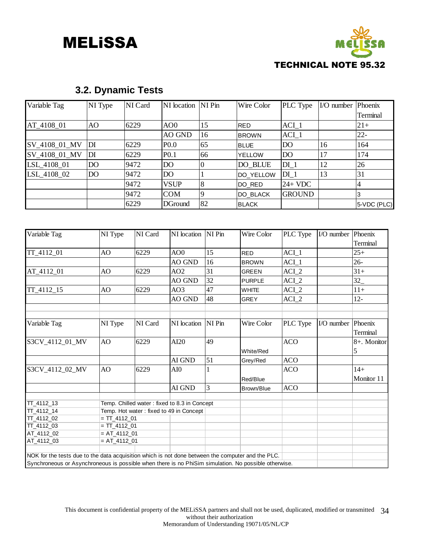

### **3.2. Dynamic Tests**

| Variable Tag  | <b>NI</b> Type | NI Card | NI location NI Pin |                | Wire Color    | PLC Type        | $IO number  Phoenix$ |                 |
|---------------|----------------|---------|--------------------|----------------|---------------|-----------------|----------------------|-----------------|
|               |                |         |                    |                |               |                 |                      | Terminal        |
| AT_4108_01    | AO.            | 6229    | AO0                | 15             | <b>IRED</b>   | $ACI_1$         |                      | $21+$           |
|               |                |         | <b>AO GND</b>      | 16             | <b>BROWN</b>  | $ACI_1$         |                      | $22 -$          |
| SV_4108_01_MV | DI             | 6229    | P <sub>0.0</sub>   | 65             | <b>BLUE</b>   | DO              | 16                   | 164             |
| SV_4108_01_MV | DI             | 6229    | P <sub>0.1</sub>   | 66             | <b>YELLOW</b> | DO              | 17                   | 174             |
| LSL_4108_01   | D <sub>O</sub> | 9472    | DO                 |                | DO_BLUE       | $DI_1$          | 12                   | 26              |
| LSL_4108_02   | <b>DO</b>      | 9472    | DO <sub>1</sub>    |                | DO_YELLOW     | DI <sub>1</sub> | 13                   | 31              |
|               |                | 9472    | <b>VSUP</b>        | $\overline{8}$ | DO_RED        | $24+VDC$        |                      | 4               |
|               |                | 9472    | <b>COM</b>         |                | DO_BLACK      | <b>GROUND</b>   |                      |                 |
|               |                | 6229    | <b>DGround</b>     | 82             | <b>IBLACK</b> |                 |                      | $ 5$ -VDC (PLC) |

| Variable Tag                                                                                         | NI Type        | NI Card                                      | NI location NI Pin                      |    | Wire Color    | PLC Type         | I/O number | Phoenix     |
|------------------------------------------------------------------------------------------------------|----------------|----------------------------------------------|-----------------------------------------|----|---------------|------------------|------------|-------------|
|                                                                                                      |                |                                              |                                         |    |               |                  |            | Terminal    |
| TT_4112_01                                                                                           | AO             | 6229                                         | AOO                                     | 15 | <b>RED</b>    | $ACI_1$          |            | $25+$       |
|                                                                                                      |                |                                              | AO GND                                  | 16 | <b>BROWN</b>  | $ACI_1$          |            | $26 -$      |
| AT_4112_01                                                                                           | AO             | 6229                                         | AO2                                     | 31 | <b>GREEN</b>  | $ACI_2$          |            | $31+$       |
|                                                                                                      |                |                                              | <b>AO GND</b>                           | 32 | <b>PURPLE</b> | ACI <sub>2</sub> |            | 32          |
| TT_4112_15                                                                                           | AO             | 6229                                         | AO3                                     | 47 | <b>WHITE</b>  | $ACI_2$          |            | $11+$       |
|                                                                                                      |                |                                              | <b>AO GND</b>                           | 48 | <b>GREY</b>   | ACI 2            |            | $12 -$      |
|                                                                                                      |                |                                              |                                         |    |               |                  |            |             |
| Variable Tag                                                                                         | NI Type        | NI Card                                      | NI location NI Pin                      |    | Wire Color    | PLC Type         | I/O number | Phoenix     |
|                                                                                                      |                |                                              |                                         |    |               |                  |            | Terminal    |
| S3CV_4112_01_MV                                                                                      | AO             | 6229                                         | AI20                                    | 49 |               | <b>ACO</b>       |            | 8+. Monitor |
|                                                                                                      |                |                                              |                                         |    | White/Red     |                  |            | 5           |
|                                                                                                      |                |                                              | AI GND                                  | 51 | Grey/Red      | <b>ACO</b>       |            |             |
| S3CV_4112_02_MV                                                                                      | AO             | 6229                                         | AI0                                     |    |               | <b>ACO</b>       |            | $14+$       |
|                                                                                                      |                |                                              |                                         |    | Red/Blue      |                  |            | Monitor 11  |
|                                                                                                      |                |                                              | AI GND                                  | 3  | Brown/Blue    | <b>ACO</b>       |            |             |
| TT_4112_13                                                                                           |                | Temp. Chilled water: fixed to 8.3 in Concept |                                         |    |               |                  |            |             |
| TT_4112_14                                                                                           |                |                                              | Temp. Hot water: fixed to 49 in Concept |    |               |                  |            |             |
| TT 4112 02                                                                                           | $= TT 4112 01$ |                                              |                                         |    |               |                  |            |             |
| TT 4112 03                                                                                           | $= TT 4112 01$ |                                              |                                         |    |               |                  |            |             |
| AT_4112_02                                                                                           | $= AT_4112_01$ |                                              |                                         |    |               |                  |            |             |
| AT_4112_03                                                                                           | $= AT_4112_01$ |                                              |                                         |    |               |                  |            |             |
|                                                                                                      |                |                                              |                                         |    |               |                  |            |             |
| NOK for the tests due to the data acquisition which is not done between the computer and the PLC.    |                |                                              |                                         |    |               |                  |            |             |
| Synchroneous or Asynchroneous is possible when there is no PhiSim simulation. No possible otherwise. |                |                                              |                                         |    |               |                  |            |             |